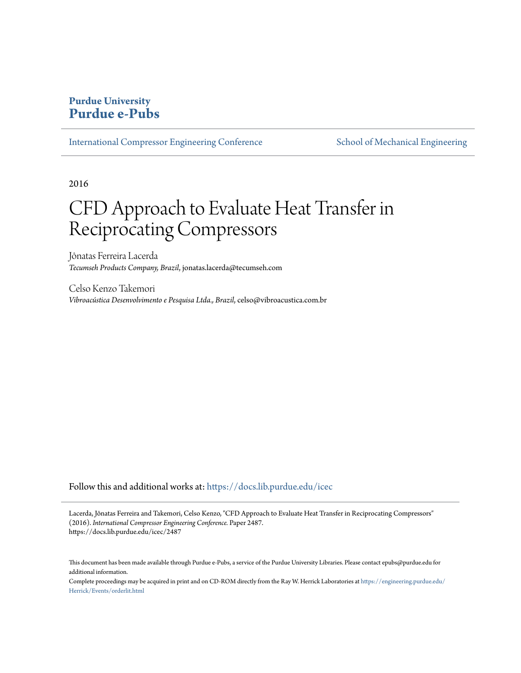# **Purdue University [Purdue e-Pubs](https://docs.lib.purdue.edu?utm_source=docs.lib.purdue.edu%2Ficec%2F2487&utm_medium=PDF&utm_campaign=PDFCoverPages)**

[International Compressor Engineering Conference](https://docs.lib.purdue.edu/icec?utm_source=docs.lib.purdue.edu%2Ficec%2F2487&utm_medium=PDF&utm_campaign=PDFCoverPages) [School of Mechanical Engineering](https://docs.lib.purdue.edu/me?utm_source=docs.lib.purdue.edu%2Ficec%2F2487&utm_medium=PDF&utm_campaign=PDFCoverPages)

2016

# CFD Approach to Evaluate Heat Transfer in Reciprocating Compressors

Jônatas Ferreira Lacerda *Tecumseh Products Company, Brazil*, jonatas.lacerda@tecumseh.com

Celso Kenzo Takemori *Vibroacústica Desenvolvimento e Pesquisa Ltda., Brazil*, celso@vibroacustica.com.br

Follow this and additional works at: [https://docs.lib.purdue.edu/icec](https://docs.lib.purdue.edu/icec?utm_source=docs.lib.purdue.edu%2Ficec%2F2487&utm_medium=PDF&utm_campaign=PDFCoverPages)

Lacerda, Jônatas Ferreira and Takemori, Celso Kenzo, "CFD Approach to Evaluate Heat Transfer in Reciprocating Compressors" (2016). *International Compressor Engineering Conference.* Paper 2487. https://docs.lib.purdue.edu/icec/2487

Complete proceedings may be acquired in print and on CD-ROM directly from the Ray W. Herrick Laboratories at [https://engineering.purdue.edu/](https://engineering.purdue.edu/Herrick/Events/orderlit.html) [Herrick/Events/orderlit.html](https://engineering.purdue.edu/Herrick/Events/orderlit.html)

This document has been made available through Purdue e-Pubs, a service of the Purdue University Libraries. Please contact epubs@purdue.edu for additional information.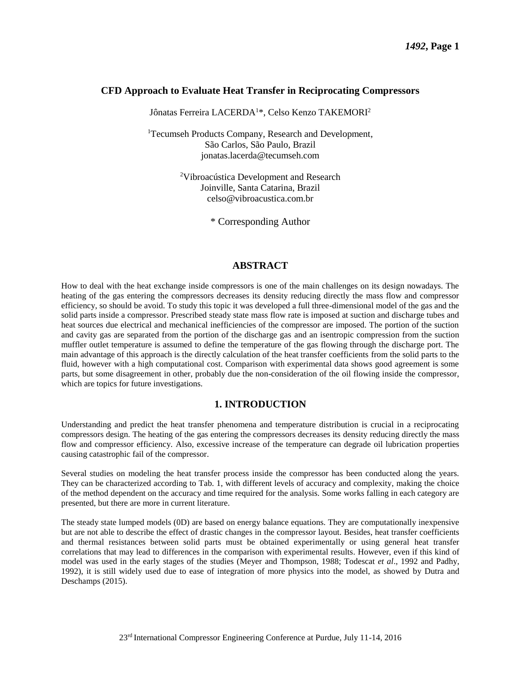#### **CFD Approach to Evaluate Heat Transfer in Reciprocating Compressors**

Jônatas Ferreira LACERDA<sup>1\*</sup>, Celso Kenzo TAKEMORI<sup>2</sup>

<sup>1</sup>Tecumseh Products Company, Research and Development, São Carlos, São Paulo, Brazil jonatas.lacerda@tecumseh.com

> <sup>2</sup>Vibroacústica Development and Research Joinville, Santa Catarina, Brazil celso@vibroacustica.com.br

> > \* Corresponding Author

#### **ABSTRACT**

How to deal with the heat exchange inside compressors is one of the main challenges on its design nowadays. The heating of the gas entering the compressors decreases its density reducing directly the mass flow and compressor efficiency, so should be avoid. To study this topic it was developed a full three-dimensional model of the gas and the solid parts inside a compressor. Prescribed steady state mass flow rate is imposed at suction and discharge tubes and heat sources due electrical and mechanical inefficiencies of the compressor are imposed. The portion of the suction and cavity gas are separated from the portion of the discharge gas and an isentropic compression from the suction muffler outlet temperature is assumed to define the temperature of the gas flowing through the discharge port. The main advantage of this approach is the directly calculation of the heat transfer coefficients from the solid parts to the fluid, however with a high computational cost. Comparison with experimental data shows good agreement is some parts, but some disagreement in other, probably due the non-consideration of the oil flowing inside the compressor, which are topics for future investigations.

#### **1. INTRODUCTION**

Understanding and predict the heat transfer phenomena and temperature distribution is crucial in a reciprocating compressors design. The heating of the gas entering the compressors decreases its density reducing directly the mass flow and compressor efficiency. Also, excessive increase of the temperature can degrade oil lubrication properties causing catastrophic fail of the compressor.

Several studies on modeling the heat transfer process inside the compressor has been conducted along the years. They can be characterized according to Tab. 1, with different levels of accuracy and complexity, making the choice of the method dependent on the accuracy and time required for the analysis. Some works falling in each category are presented, but there are more in current literature.

The steady state lumped models (0D) are based on energy balance equations. They are computationally inexpensive but are not able to describe the effect of drastic changes in the compressor layout. Besides, heat transfer coefficients and thermal resistances between solid parts must be obtained experimentally or using general heat transfer correlations that may lead to differences in the comparison with experimental results. However, even if this kind of model was used in the early stages of the studies (Meyer and Thompson, 1988; Todescat *et al*., 1992 and Padhy, 1992), it is still widely used due to ease of integration of more physics into the model, as showed by Dutra and Deschamps (2015).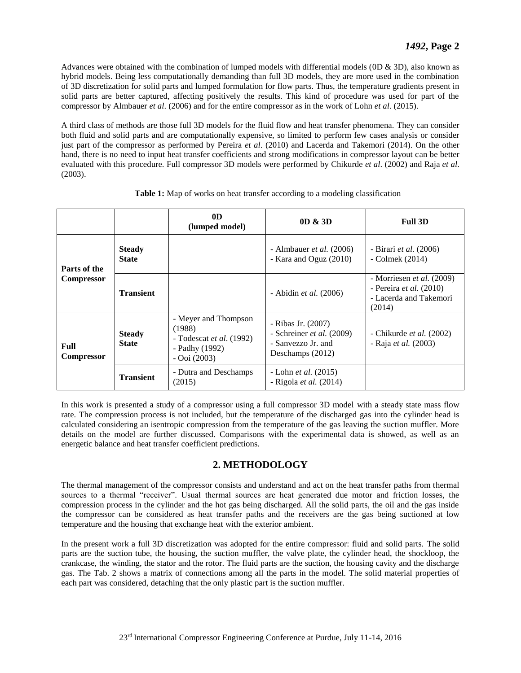Advances were obtained with the combination of lumped models with differential models (0D & 3D), also known as hybrid models. Being less computationally demanding than full 3D models, they are more used in the combination of 3D discretization for solid parts and lumped formulation for flow parts. Thus, the temperature gradients present in solid parts are better captured, affecting positively the results. This kind of procedure was used for part of the compressor by Almbauer *et al*. (2006) and for the entire compressor as in the work of Lohn *et al*. (2015).

A third class of methods are those full 3D models for the fluid flow and heat transfer phenomena. They can consider both fluid and solid parts and are computationally expensive, so limited to perform few cases analysis or consider just part of the compressor as performed by Pereira *et al*. (2010) and Lacerda and Takemori (2014). On the other hand, there is no need to input heat transfer coefficients and strong modifications in compressor layout can be better evaluated with this procedure. Full compressor 3D models were performed by Chikurde *et al*. (2002) and Raja *et al*. (2003).

|                                   |                               | 0 <sub>D</sub><br>(lumped model)                                                                      | 0D & 3D                                                                                     | <b>Full 3D</b>                                                                                    |
|-----------------------------------|-------------------------------|-------------------------------------------------------------------------------------------------------|---------------------------------------------------------------------------------------------|---------------------------------------------------------------------------------------------------|
| Parts of the<br><b>Compressor</b> | <b>Steady</b><br><b>State</b> |                                                                                                       | - Almbauer <i>et al.</i> $(2006)$<br>- Kara and Oguz (2010)                                 | - Birari <i>et al.</i> (2006)<br>- Colmek (2014)                                                  |
|                                   | <b>Transient</b>              |                                                                                                       | - Abidin et al. $(2006)$                                                                    | - Morriesen <i>et al.</i> (2009)<br>- Pereira et al. $(2010)$<br>- Lacerda and Takemori<br>(2014) |
| Full<br><b>Compressor</b>         | <b>Steady</b><br><b>State</b> | - Meyer and Thompson<br>(1988)<br>- Todescat <i>et al.</i> $(1992)$<br>- Padhy (1992)<br>$-Ooi(2003)$ | - Ribas Jr. (2007)<br>- Schreiner et al. $(2009)$<br>- Sanvezzo Jr. and<br>Deschamps (2012) | - Chikurde <i>et al.</i> $(2002)$<br>- Raja et al. (2003)                                         |
|                                   | <b>Transient</b>              | - Dutra and Deschamps<br>(2015)                                                                       | - Lohn <i>et al.</i> (2015)<br>- Rigola <i>et al.</i> $(2014)$                              |                                                                                                   |

**Table 1:** Map of works on heat transfer according to a modeling classification

In this work is presented a study of a compressor using a full compressor 3D model with a steady state mass flow rate. The compression process is not included, but the temperature of the discharged gas into the cylinder head is calculated considering an isentropic compression from the temperature of the gas leaving the suction muffler. More details on the model are further discussed. Comparisons with the experimental data is showed, as well as an energetic balance and heat transfer coefficient predictions.

## **2. METHODOLOGY**

The thermal management of the compressor consists and understand and act on the heat transfer paths from thermal sources to a thermal "receiver". Usual thermal sources are heat generated due motor and friction losses, the compression process in the cylinder and the hot gas being discharged. All the solid parts, the oil and the gas inside the compressor can be considered as heat transfer paths and the receivers are the gas being suctioned at low temperature and the housing that exchange heat with the exterior ambient.

In the present work a full 3D discretization was adopted for the entire compressor: fluid and solid parts. The solid parts are the suction tube, the housing, the suction muffler, the valve plate, the cylinder head, the shockloop, the crankcase, the winding, the stator and the rotor. The fluid parts are the suction, the housing cavity and the discharge gas. The Tab. 2 shows a matrix of connections among all the parts in the model. The solid material properties of each part was considered, detaching that the only plastic part is the suction muffler.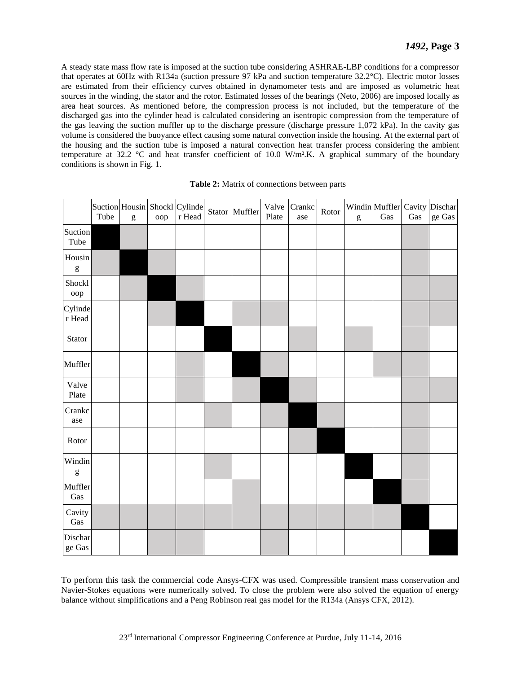A steady state mass flow rate is imposed at the suction tube considering ASHRAE-LBP conditions for a compressor that operates at 60Hz with R134a (suction pressure 97 kPa and suction temperature 32.2°C). Electric motor losses are estimated from their efficiency curves obtained in dynamometer tests and are imposed as volumetric heat sources in the winding, the stator and the rotor. Estimated losses of the bearings (Neto, 2006) are imposed locally as area heat sources. As mentioned before, the compression process is not included, but the temperature of the discharged gas into the cylinder head is calculated considering an isentropic compression from the temperature of the gas leaving the suction muffler up to the discharge pressure (discharge pressure 1,072 kPa). In the cavity gas volume is considered the buoyance effect causing some natural convection inside the housing. At the external part of the housing and the suction tube is imposed a natural convection heat transfer process considering the ambient temperature at 32.2 °C and heat transfer coefficient of 10.0 W/m².K. A graphical summary of the boundary conditions is shown in Fig. 1.

|                                                                                                                                                                                                                                                                                                                                                                                                                                          | Tube | $\mathbf{g}% _{T}=\mathbf{g}_{T}=\mathbf{g}_{T}=\mathbf{g}_{T}=\mathbf{g}_{T}=\mathbf{g}_{T}=\mathbf{g}_{T}=\mathbf{g}_{T}=\mathbf{g}_{T}=\mathbf{g}_{T}=\mathbf{g}_{T}=\mathbf{g}_{T}=\mathbf{g}_{T}=\mathbf{g}_{T}=\mathbf{g}_{T}=\mathbf{g}_{T}=\mathbf{g}_{T}=\mathbf{g}_{T}=\mathbf{g}_{T}=\mathbf{g}_{T}=\mathbf{g}_{T}=\mathbf{g}_{T}=\mathbf{g}_{T}=\mathbf{g}_{T}=\mathbf{g}_{T}=\mathbf{g}_{T}=\mathbf{g}_{T}=\math$ | oop | Suction Housin Shockl Cylinde<br>$\bf r$ Head | Stator Muffler | Valve<br>Plate | Crankc<br>ase | Rotor | $\mathbf{g}% _{T}=\mathbf{g}_{T}=\mathbf{g}_{T}=\mathbf{g}_{T}=\mathbf{g}_{T}=\mathbf{g}_{T}=\mathbf{g}_{T}=\mathbf{g}_{T}=\mathbf{g}_{T}=\mathbf{g}_{T}=\mathbf{g}_{T}=\mathbf{g}_{T}=\mathbf{g}_{T}=\mathbf{g}_{T}=\mathbf{g}_{T}=\mathbf{g}_{T}=\mathbf{g}_{T}=\mathbf{g}_{T}=\mathbf{g}_{T}=\mathbf{g}_{T}=\mathbf{g}_{T}=\mathbf{g}_{T}=\mathbf{g}_{T}=\mathbf{g}_{T}=\mathbf{g}_{T}=\mathbf{g}_{T}=\mathbf{g}_{T}=\math$ | Gas | $\rm Gas$ | Windin Muffler Cavity Dischar<br>$\rm ge\ Gas$ |
|------------------------------------------------------------------------------------------------------------------------------------------------------------------------------------------------------------------------------------------------------------------------------------------------------------------------------------------------------------------------------------------------------------------------------------------|------|--------------------------------------------------------------------------------------------------------------------------------------------------------------------------------------------------------------------------------------------------------------------------------------------------------------------------------------------------------------------------------------------------------------------------------|-----|-----------------------------------------------|----------------|----------------|---------------|-------|--------------------------------------------------------------------------------------------------------------------------------------------------------------------------------------------------------------------------------------------------------------------------------------------------------------------------------------------------------------------------------------------------------------------------------|-----|-----------|------------------------------------------------|
| Suction<br>Tube                                                                                                                                                                                                                                                                                                                                                                                                                          |      |                                                                                                                                                                                                                                                                                                                                                                                                                                |     |                                               |                |                |               |       |                                                                                                                                                                                                                                                                                                                                                                                                                                |     |           |                                                |
| Housin<br>$\mathbf{g}% _{T}=\mathbf{g}_{T}=\mathbf{g}_{T}=\mathbf{g}_{T}=\mathbf{g}_{T}=\mathbf{g}_{T}=\mathbf{g}_{T}=\mathbf{g}_{T}=\mathbf{g}_{T}=\mathbf{g}_{T}=\mathbf{g}_{T}=\mathbf{g}_{T}=\mathbf{g}_{T}=\mathbf{g}_{T}=\mathbf{g}_{T}=\mathbf{g}_{T}=\mathbf{g}_{T}=\mathbf{g}_{T}=\mathbf{g}_{T}=\mathbf{g}_{T}=\mathbf{g}_{T}=\mathbf{g}_{T}=\mathbf{g}_{T}=\mathbf{g}_{T}=\mathbf{g}_{T}=\mathbf{g}_{T}=\mathbf{g}_{T}=\math$ |      |                                                                                                                                                                                                                                                                                                                                                                                                                                |     |                                               |                |                |               |       |                                                                                                                                                                                                                                                                                                                                                                                                                                |     |           |                                                |
| Shockl<br>oop                                                                                                                                                                                                                                                                                                                                                                                                                            |      |                                                                                                                                                                                                                                                                                                                                                                                                                                |     |                                               |                |                |               |       |                                                                                                                                                                                                                                                                                                                                                                                                                                |     |           |                                                |
| Cylinde<br>$\mathbf r$ Head                                                                                                                                                                                                                                                                                                                                                                                                              |      |                                                                                                                                                                                                                                                                                                                                                                                                                                |     |                                               |                |                |               |       |                                                                                                                                                                                                                                                                                                                                                                                                                                |     |           |                                                |
| Stator                                                                                                                                                                                                                                                                                                                                                                                                                                   |      |                                                                                                                                                                                                                                                                                                                                                                                                                                |     |                                               |                |                |               |       |                                                                                                                                                                                                                                                                                                                                                                                                                                |     |           |                                                |
| Muffler                                                                                                                                                                                                                                                                                                                                                                                                                                  |      |                                                                                                                                                                                                                                                                                                                                                                                                                                |     |                                               |                |                |               |       |                                                                                                                                                                                                                                                                                                                                                                                                                                |     |           |                                                |
| Valve<br>Plate                                                                                                                                                                                                                                                                                                                                                                                                                           |      |                                                                                                                                                                                                                                                                                                                                                                                                                                |     |                                               |                |                |               |       |                                                                                                                                                                                                                                                                                                                                                                                                                                |     |           |                                                |
| Crankc<br>ase                                                                                                                                                                                                                                                                                                                                                                                                                            |      |                                                                                                                                                                                                                                                                                                                                                                                                                                |     |                                               |                |                |               |       |                                                                                                                                                                                                                                                                                                                                                                                                                                |     |           |                                                |
| Rotor                                                                                                                                                                                                                                                                                                                                                                                                                                    |      |                                                                                                                                                                                                                                                                                                                                                                                                                                |     |                                               |                |                |               |       |                                                                                                                                                                                                                                                                                                                                                                                                                                |     |           |                                                |
| Windin<br>$\mathbf{g}% _{T}=\mathbf{g}_{T}=\mathbf{g}_{T}=\mathbf{g}_{T}=\mathbf{g}_{T}=\mathbf{g}_{T}=\mathbf{g}_{T}=\mathbf{g}_{T}=\mathbf{g}_{T}=\mathbf{g}_{T}=\mathbf{g}_{T}=\mathbf{g}_{T}=\mathbf{g}_{T}=\mathbf{g}_{T}=\mathbf{g}_{T}=\mathbf{g}_{T}=\mathbf{g}_{T}=\mathbf{g}_{T}=\mathbf{g}_{T}=\mathbf{g}_{T}=\mathbf{g}_{T}=\mathbf{g}_{T}=\mathbf{g}_{T}=\mathbf{g}_{T}=\mathbf{g}_{T}=\mathbf{g}_{T}=\mathbf{g}_{T}=\math$ |      |                                                                                                                                                                                                                                                                                                                                                                                                                                |     |                                               |                |                |               |       |                                                                                                                                                                                                                                                                                                                                                                                                                                |     |           |                                                |
| Muffler<br>Gas                                                                                                                                                                                                                                                                                                                                                                                                                           |      |                                                                                                                                                                                                                                                                                                                                                                                                                                |     |                                               |                |                |               |       |                                                                                                                                                                                                                                                                                                                                                                                                                                |     |           |                                                |
| Cavity<br>Gas                                                                                                                                                                                                                                                                                                                                                                                                                            |      |                                                                                                                                                                                                                                                                                                                                                                                                                                |     |                                               |                |                |               |       |                                                                                                                                                                                                                                                                                                                                                                                                                                |     |           |                                                |
| Dischar<br>$\rm ge~Gas$                                                                                                                                                                                                                                                                                                                                                                                                                  |      |                                                                                                                                                                                                                                                                                                                                                                                                                                |     |                                               |                |                |               |       |                                                                                                                                                                                                                                                                                                                                                                                                                                |     |           |                                                |

| Table 2: Matrix of connections between parts |  |  |  |
|----------------------------------------------|--|--|--|
|----------------------------------------------|--|--|--|

To perform this task the commercial code Ansys-CFX was used. Compressible transient mass conservation and Navier-Stokes equations were numerically solved. To close the problem were also solved the equation of energy balance without simplifications and a Peng Robinson real gas model for the R134a (Ansys CFX, 2012).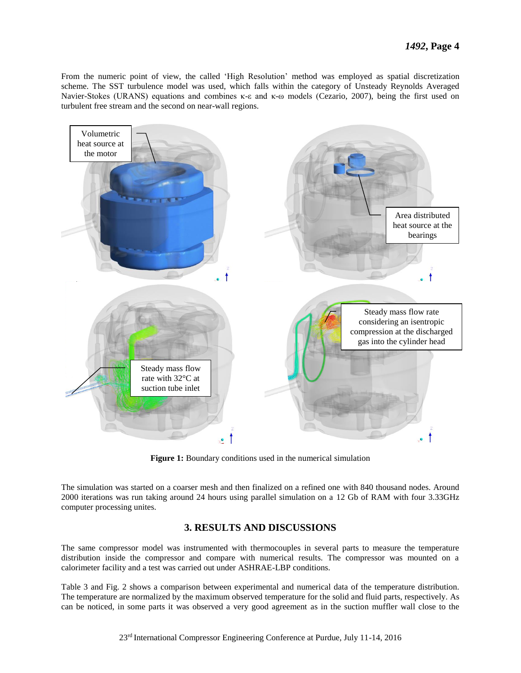From the numeric point of view, the called 'High Resolution' method was employed as spatial discretization scheme. The SST turbulence model was used, which falls within the category of Unsteady Reynolds Averaged Navier-Stokes (URANS) equations and combines κ-ε and κ-ω models (Cezario, 2007), being the first used on turbulent free stream and the second on near-wall regions.



**Figure 1:** Boundary conditions used in the numerical simulation

The simulation was started on a coarser mesh and then finalized on a refined one with 840 thousand nodes. Around 2000 iterations was run taking around 24 hours using parallel simulation on a 12 Gb of RAM with four 3.33GHz computer processing unites.

#### **3. RESULTS AND DISCUSSIONS**

The same compressor model was instrumented with thermocouples in several parts to measure the temperature distribution inside the compressor and compare with numerical results. The compressor was mounted on a calorimeter facility and a test was carried out under ASHRAE-LBP conditions.

Table 3 and Fig. 2 shows a comparison between experimental and numerical data of the temperature distribution. The temperature are normalized by the maximum observed temperature for the solid and fluid parts, respectively. As can be noticed, in some parts it was observed a very good agreement as in the suction muffler wall close to the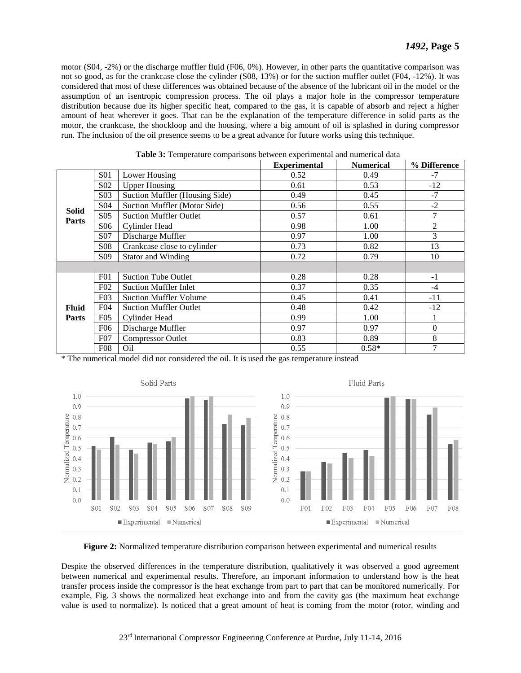motor (S04, -2%) or the discharge muffler fluid (F06, 0%). However, in other parts the quantitative comparison was not so good, as for the crankcase close the cylinder (S08, 13%) or for the suction muffler outlet (F04, -12%). It was considered that most of these differences was obtained because of the absence of the lubricant oil in the model or the assumption of an isentropic compression process. The oil plays a major hole in the compressor temperature distribution because due its higher specific heat, compared to the gas, it is capable of absorb and reject a higher amount of heat wherever it goes. That can be the explanation of the temperature difference in solid parts as the motor, the crankcase, the shockloop and the housing, where a big amount of oil is splashed in during compressor run. The inclusion of the oil presence seems to be a great advance for future works using this technique.

|                              |                  |                                | <b>Experimental</b> | <b>Numerical</b> | % Difference   |
|------------------------------|------------------|--------------------------------|---------------------|------------------|----------------|
|                              | <b>S01</b>       | Lower Housing                  | 0.52                | 0.49             | $-7$           |
|                              | S <sub>0</sub> 2 | <b>Upper Housing</b>           | 0.61                | 0.53             | $-12$          |
|                              | S <sub>03</sub>  | Suction Muffler (Housing Side) | 0.49                | 0.45             | $-7$           |
|                              | S04              | Suction Muffler (Motor Side)   | 0.56                | 0.55             | $-2$           |
| <b>Solid</b>                 | S <sub>05</sub>  | <b>Suction Muffler Outlet</b>  | 0.57                | 0.61             | 7              |
| <b>Parts</b>                 | S06              | Cylinder Head                  | 0.98                | 1.00             | $\overline{c}$ |
|                              | S07              | Discharge Muffler              | 0.97                | 1.00             | 3              |
|                              | <b>S08</b>       | Crankcase close to cylinder    | 0.73                | 0.82             | 13             |
|                              | S <sub>09</sub>  | <b>Stator and Winding</b>      | 0.72                | 0.79             | 10             |
|                              |                  |                                |                     |                  |                |
|                              | F01              | <b>Suction Tube Outlet</b>     | 0.28                | 0.28             | $-1$           |
|                              | F <sub>02</sub>  | <b>Suction Muffler Inlet</b>   | 0.37                | 0.35             | $-4$           |
|                              | F03              | <b>Suction Muffler Volume</b>  | 0.45                | 0.41             | $-11$          |
| <b>Fluid</b><br><b>Parts</b> | F <sub>04</sub>  | <b>Suction Muffler Outlet</b>  | 0.48                | 0.42             | $-12$          |
|                              | F05              | Cylinder Head                  | 0.99                | 1.00             |                |
|                              | F <sub>06</sub>  | Discharge Muffler              | 0.97                | 0.97             | $\overline{0}$ |
|                              | F07              | <b>Compressor Outlet</b>       | 0.83                | 0.89             | 8              |
|                              | F <sub>08</sub>  | O <sub>il</sub>                | 0.55                | $0.58*$          | 7              |

**Table 3:** Temperature comparisons between experimental and numerical data

\* The numerical model did not considered the oil. It is used the gas temperature instead





**Figure 2:** Normalized temperature distribution comparison between experimental and numerical results

Despite the observed differences in the temperature distribution, qualitatively it was observed a good agreement between numerical and experimental results. Therefore, an important information to understand how is the heat transfer process inside the compressor is the heat exchange from part to part that can be monitored numerically. For example, Fig. 3 shows the normalized heat exchange into and from the cavity gas (the maximum heat exchange value is used to normalize). Is noticed that a great amount of heat is coming from the motor (rotor, winding and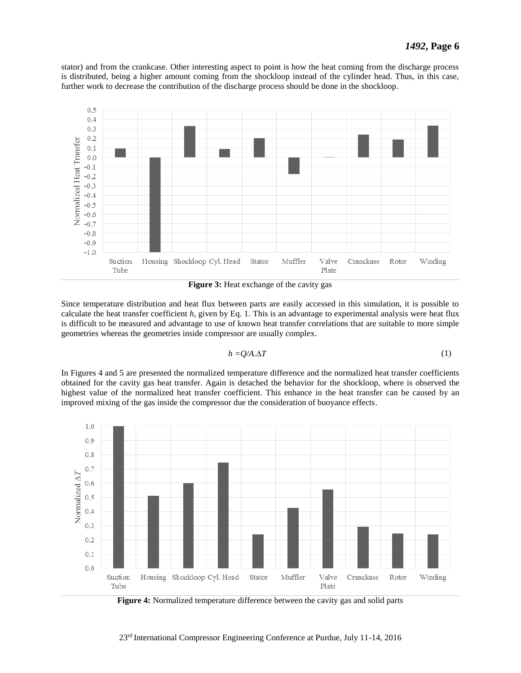stator) and from the crankcase. Other interesting aspect to point is how the heat coming from the discharge process is distributed, being a higher amount coming from the shockloop instead of the cylinder head. Thus, in this case, further work to decrease the contribution of the discharge process should be done in the shockloop.



**Figure 3:** Heat exchange of the cavity gas

Since temperature distribution and heat flux between parts are easily accessed in this simulation, it is possible to calculate the heat transfer coefficient *h*, given by Eq. 1. This is an advantage to experimental analysis were heat flux is difficult to be measured and advantage to use of known heat transfer correlations that are suitable to more simple geometries whereas the geometries inside compressor are usually complex.

$$
h = Q/A. \Delta T \tag{1}
$$

In Figures 4 and 5 are presented the normalized temperature difference and the normalized heat transfer coefficients obtained for the cavity gas heat transfer. Again is detached the behavior for the shockloop, where is observed the highest value of the normalized heat transfer coefficient. This enhance in the heat transfer can be caused by an improved mixing of the gas inside the compressor due the consideration of buoyance effects.



**Figure 4:** Normalized temperature difference between the cavity gas and solid parts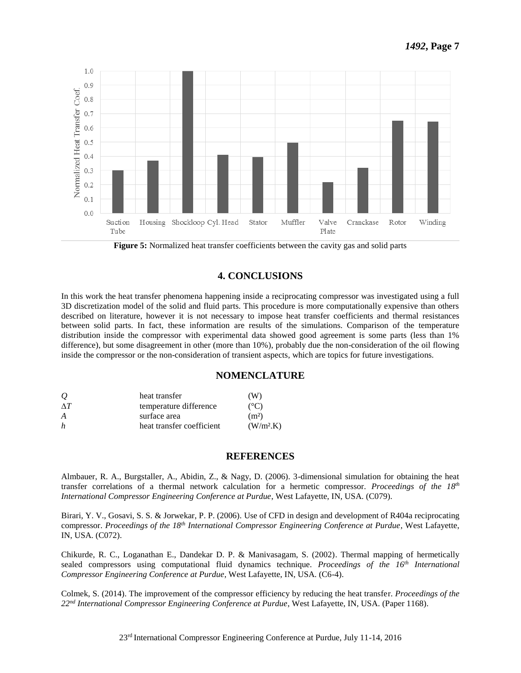

**Figure 5:** Normalized heat transfer coefficients between the cavity gas and solid parts

## **4. CONCLUSIONS**

In this work the heat transfer phenomena happening inside a reciprocating compressor was investigated using a full 3D discretization model of the solid and fluid parts. This procedure is more computationally expensive than others described on literature, however it is not necessary to impose heat transfer coefficients and thermal resistances between solid parts. In fact, these information are results of the simulations. Comparison of the temperature distribution inside the compressor with experimental data showed good agreement is some parts (less than 1% difference), but some disagreement in other (more than 10%), probably due the non-consideration of the oil flowing inside the compressor or the non-consideration of transient aspects, which are topics for future investigations.

#### **NOMENCLATURE**

| $\overline{O}$ | heat transfer             | (W)                  |
|----------------|---------------------------|----------------------|
| $\wedge T$     | temperature difference    | $(^{\circ}C)$        |
| A              | surface area              | (m <sup>2</sup> )    |
| h              | heat transfer coefficient | (W/m <sup>2</sup> K) |

#### **REFERENCES**

Almbauer, R. A., Burgstaller, A., Abidin, Z., & Nagy, D. (2006). 3-dimensional simulation for obtaining the heat transfer correlations of a thermal network calculation for a hermetic compressor. *Proceedings of the 18th International Compressor Engineering Conference at Purdue*, West Lafayette, IN, USA. (C079).

Birari, Y. V., Gosavi, S. S. & Jorwekar, P. P. (2006). Use of CFD in design and development of R404a reciprocating compressor. *Proceedings of the 18th International Compressor Engineering Conference at Purdue*, West Lafayette, IN, USA. (C072).

Chikurde, R. C., Loganathan E., Dandekar D. P. & Manivasagam, S. (2002). Thermal mapping of hermetically sealed compressors using computational fluid dynamics technique. *Proceedings of the 16th International Compressor Engineering Conference at Purdue*, West Lafayette, IN, USA. (C6-4).

Colmek, S. (2014). The improvement of the compressor efficiency by reducing the heat transfer. *Proceedings of the 22nd International Compressor Engineering Conference at Purdue*, West Lafayette, IN, USA. (Paper 1168).